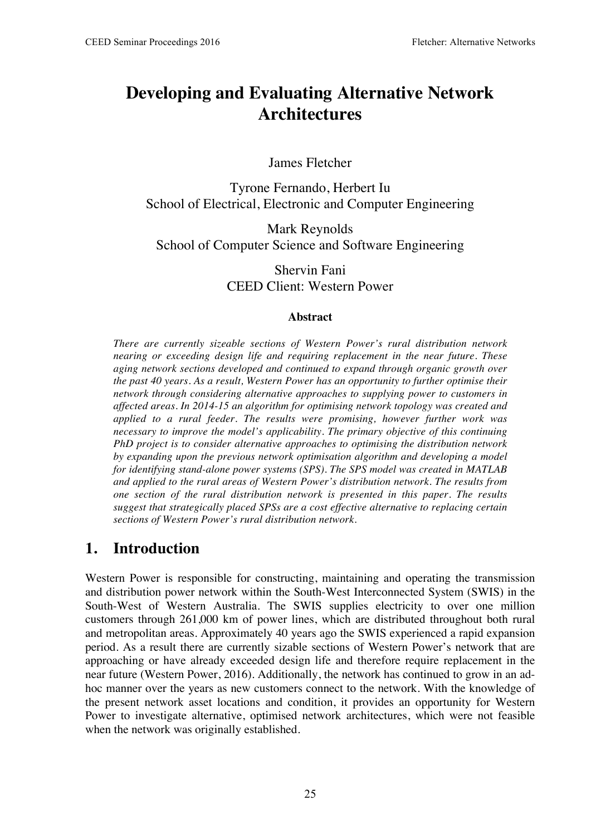# **Developing and Evaluating Alternative Network Architectures**

James Fletcher

Tyrone Fernando, Herbert Iu School of Electrical, Electronic and Computer Engineering

Mark Reynolds School of Computer Science and Software Engineering

> Shervin Fani CEED Client: Western Power

#### **Abstract**

*There are currently sizeable sections of Western Power's rural distribution network nearing or exceeding design life and requiring replacement in the near future. These aging network sections developed and continued to expand through organic growth over the past 40 years. As a result, Western Power has an opportunity to further optimise their network through considering alternative approaches to supplying power to customers in affected areas. In 2014-15 an algorithm for optimising network topology was created and applied to a rural feeder. The results were promising, however further work was necessary to improve the model's applicability. The primary objective of this continuing PhD project is to consider alternative approaches to optimising the distribution network by expanding upon the previous network optimisation algorithm and developing a model for identifying stand-alone power systems (SPS). The SPS model was created in MATLAB and applied to the rural areas of Western Power's distribution network. The results from one section of the rural distribution network is presented in this paper. The results suggest that strategically placed SPSs are a cost effective alternative to replacing certain sections of Western Power's rural distribution network.*

### **1. Introduction**

Western Power is responsible for constructing, maintaining and operating the transmission and distribution power network within the South-West Interconnected System (SWIS) in the South-West of Western Australia. The SWIS supplies electricity to over one million customers through 261,000 km of power lines, which are distributed throughout both rural and metropolitan areas. Approximately 40 years ago the SWIS experienced a rapid expansion period. As a result there are currently sizable sections of Western Power's network that are approaching or have already exceeded design life and therefore require replacement in the near future (Western Power, 2016). Additionally, the network has continued to grow in an adhoc manner over the years as new customers connect to the network. With the knowledge of the present network asset locations and condition, it provides an opportunity for Western Power to investigate alternative, optimised network architectures, which were not feasible when the network was originally established.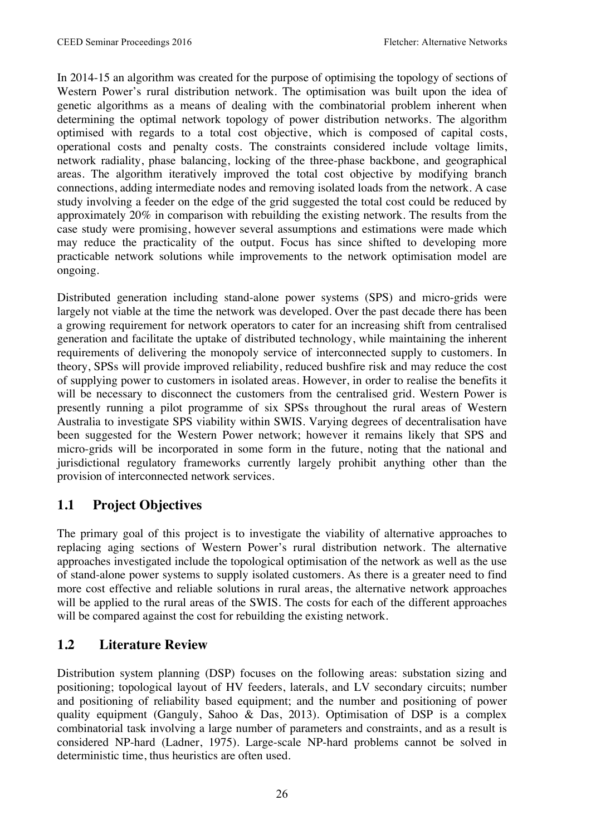In 2014-15 an algorithm was created for the purpose of optimising the topology of sections of Western Power's rural distribution network. The optimisation was built upon the idea of genetic algorithms as a means of dealing with the combinatorial problem inherent when determining the optimal network topology of power distribution networks. The algorithm optimised with regards to a total cost objective, which is composed of capital costs, operational costs and penalty costs. The constraints considered include voltage limits, network radiality, phase balancing, locking of the three-phase backbone, and geographical areas. The algorithm iteratively improved the total cost objective by modifying branch connections, adding intermediate nodes and removing isolated loads from the network. A case study involving a feeder on the edge of the grid suggested the total cost could be reduced by approximately 20% in comparison with rebuilding the existing network. The results from the case study were promising, however several assumptions and estimations were made which may reduce the practicality of the output. Focus has since shifted to developing more practicable network solutions while improvements to the network optimisation model are ongoing.

Distributed generation including stand-alone power systems (SPS) and micro-grids were largely not viable at the time the network was developed. Over the past decade there has been a growing requirement for network operators to cater for an increasing shift from centralised generation and facilitate the uptake of distributed technology, while maintaining the inherent requirements of delivering the monopoly service of interconnected supply to customers. In theory, SPSs will provide improved reliability, reduced bushfire risk and may reduce the cost of supplying power to customers in isolated areas. However, in order to realise the benefits it will be necessary to disconnect the customers from the centralised grid. Western Power is presently running a pilot programme of six SPSs throughout the rural areas of Western Australia to investigate SPS viability within SWIS. Varying degrees of decentralisation have been suggested for the Western Power network; however it remains likely that SPS and micro-grids will be incorporated in some form in the future, noting that the national and jurisdictional regulatory frameworks currently largely prohibit anything other than the provision of interconnected network services.

#### **1.1 Project Objectives**

The primary goal of this project is to investigate the viability of alternative approaches to replacing aging sections of Western Power's rural distribution network. The alternative approaches investigated include the topological optimisation of the network as well as the use of stand-alone power systems to supply isolated customers. As there is a greater need to find more cost effective and reliable solutions in rural areas, the alternative network approaches will be applied to the rural areas of the SWIS. The costs for each of the different approaches will be compared against the cost for rebuilding the existing network.

#### **1.2 Literature Review**

Distribution system planning (DSP) focuses on the following areas: substation sizing and positioning; topological layout of HV feeders, laterals, and LV secondary circuits; number and positioning of reliability based equipment; and the number and positioning of power quality equipment (Ganguly, Sahoo & Das, 2013). Optimisation of DSP is a complex combinatorial task involving a large number of parameters and constraints, and as a result is considered NP-hard (Ladner, 1975). Large-scale NP-hard problems cannot be solved in deterministic time, thus heuristics are often used.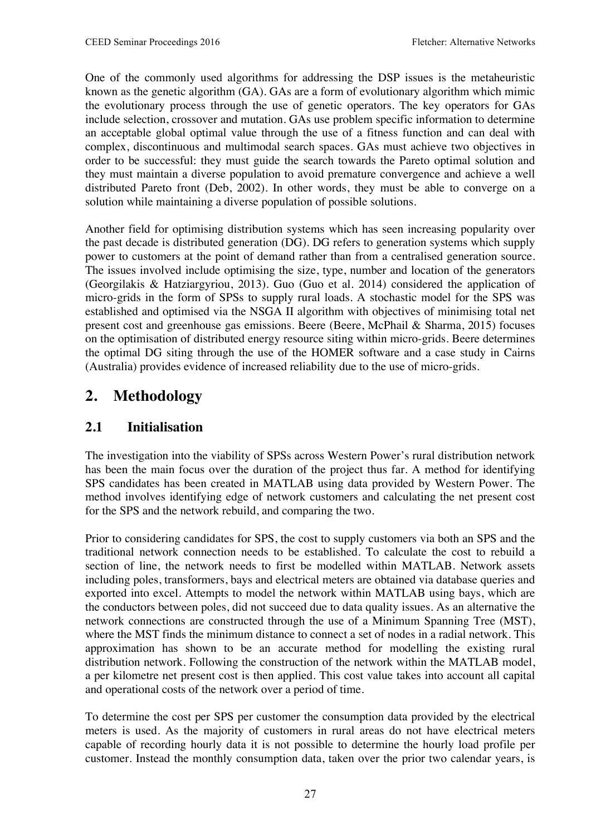One of the commonly used algorithms for addressing the DSP issues is the metaheuristic known as the genetic algorithm (GA). GAs are a form of evolutionary algorithm which mimic the evolutionary process through the use of genetic operators. The key operators for GAs include selection, crossover and mutation. GAs use problem specific information to determine an acceptable global optimal value through the use of a fitness function and can deal with complex, discontinuous and multimodal search spaces. GAs must achieve two objectives in order to be successful: they must guide the search towards the Pareto optimal solution and they must maintain a diverse population to avoid premature convergence and achieve a well distributed Pareto front (Deb, 2002). In other words, they must be able to converge on a solution while maintaining a diverse population of possible solutions.

Another field for optimising distribution systems which has seen increasing popularity over the past decade is distributed generation (DG). DG refers to generation systems which supply power to customers at the point of demand rather than from a centralised generation source. The issues involved include optimising the size, type, number and location of the generators (Georgilakis & Hatziargyriou, 2013). Guo (Guo et al. 2014) considered the application of micro-grids in the form of SPSs to supply rural loads. A stochastic model for the SPS was established and optimised via the NSGA II algorithm with objectives of minimising total net present cost and greenhouse gas emissions. Beere (Beere, McPhail & Sharma, 2015) focuses on the optimisation of distributed energy resource siting within micro-grids. Beere determines the optimal DG siting through the use of the HOMER software and a case study in Cairns (Australia) provides evidence of increased reliability due to the use of micro-grids.

## **2. Methodology**

#### **2.1 Initialisation**

The investigation into the viability of SPSs across Western Power's rural distribution network has been the main focus over the duration of the project thus far. A method for identifying SPS candidates has been created in MATLAB using data provided by Western Power. The method involves identifying edge of network customers and calculating the net present cost for the SPS and the network rebuild, and comparing the two.

Prior to considering candidates for SPS, the cost to supply customers via both an SPS and the traditional network connection needs to be established. To calculate the cost to rebuild a section of line, the network needs to first be modelled within MATLAB. Network assets including poles, transformers, bays and electrical meters are obtained via database queries and exported into excel. Attempts to model the network within MATLAB using bays, which are the conductors between poles, did not succeed due to data quality issues. As an alternative the network connections are constructed through the use of a Minimum Spanning Tree (MST), where the MST finds the minimum distance to connect a set of nodes in a radial network. This approximation has shown to be an accurate method for modelling the existing rural distribution network. Following the construction of the network within the MATLAB model, a per kilometre net present cost is then applied. This cost value takes into account all capital and operational costs of the network over a period of time.

To determine the cost per SPS per customer the consumption data provided by the electrical meters is used. As the majority of customers in rural areas do not have electrical meters capable of recording hourly data it is not possible to determine the hourly load profile per customer. Instead the monthly consumption data, taken over the prior two calendar years, is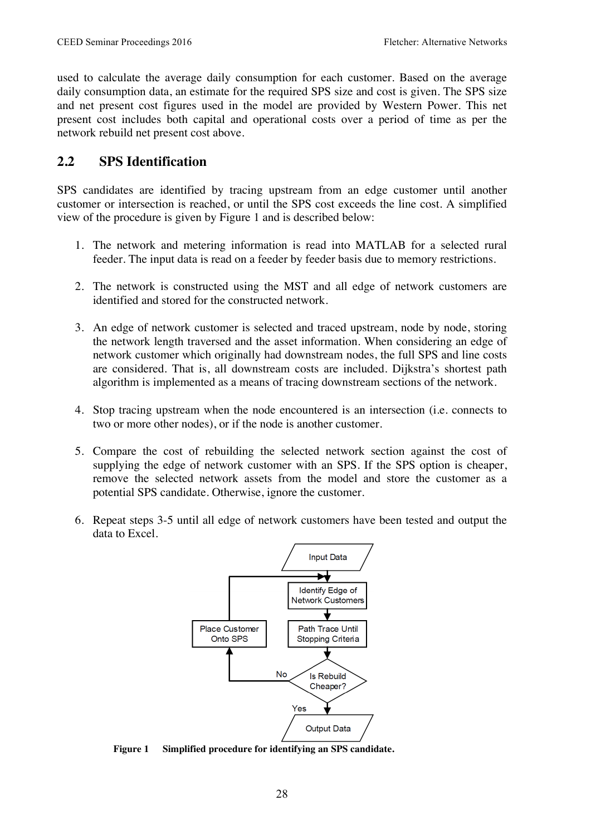used to calculate the average daily consumption for each customer. Based on the average daily consumption data, an estimate for the required SPS size and cost is given. The SPS size and net present cost figures used in the model are provided by Western Power. This net present cost includes both capital and operational costs over a period of time as per the network rebuild net present cost above.

#### **2.2 SPS Identification**

SPS candidates are identified by tracing upstream from an edge customer until another customer or intersection is reached, or until the SPS cost exceeds the line cost. A simplified view of the procedure is given by Figure 1 and is described below:

- 1. The network and metering information is read into MATLAB for a selected rural feeder. The input data is read on a feeder by feeder basis due to memory restrictions.
- 2. The network is constructed using the MST and all edge of network customers are identified and stored for the constructed network.
- 3. An edge of network customer is selected and traced upstream, node by node, storing the network length traversed and the asset information. When considering an edge of network customer which originally had downstream nodes, the full SPS and line costs are considered. That is, all downstream costs are included. Dijkstra's shortest path algorithm is implemented as a means of tracing downstream sections of the network.
- 4. Stop tracing upstream when the node encountered is an intersection (i.e. connects to two or more other nodes), or if the node is another customer.
- 5. Compare the cost of rebuilding the selected network section against the cost of supplying the edge of network customer with an SPS. If the SPS option is cheaper, remove the selected network assets from the model and store the customer as a potential SPS candidate. Otherwise, ignore the customer.
- 6. Repeat steps 3-5 until all edge of network customers have been tested and output the data to Excel.



**Figure 1 Simplified procedure for identifying an SPS candidate.**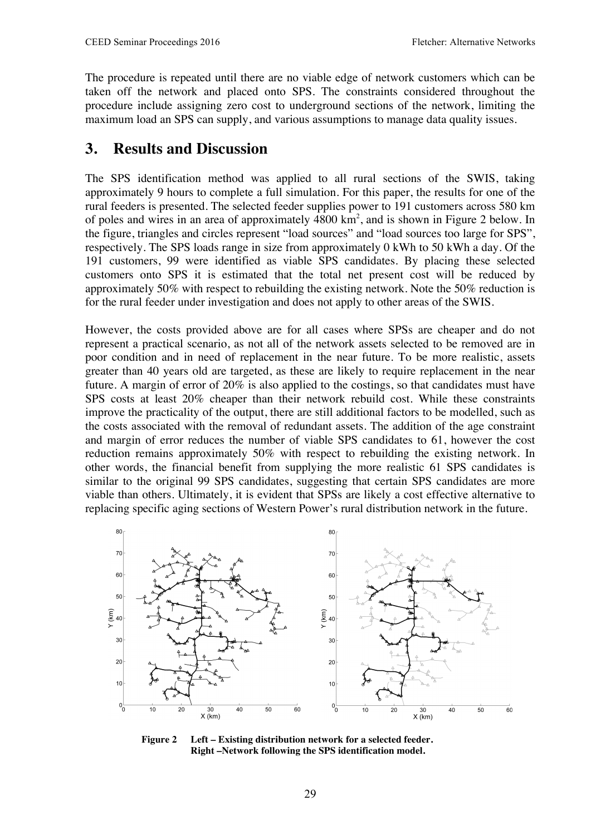The procedure is repeated until there are no viable edge of network customers which can be taken off the network and placed onto SPS. The constraints considered throughout the procedure include assigning zero cost to underground sections of the network, limiting the maximum load an SPS can supply, and various assumptions to manage data quality issues.

### **3. Results and Discussion**

The SPS identification method was applied to all rural sections of the SWIS, taking approximately 9 hours to complete a full simulation. For this paper, the results for one of the rural feeders is presented. The selected feeder supplies power to 191 customers across 580 km of poles and wires in an area of approximately  $4800 \text{ km}^2$ , and is shown in Figure 2 below. In the figure, triangles and circles represent "load sources" and "load sources too large for SPS", respectively. The SPS loads range in size from approximately 0 kWh to 50 kWh a day. Of the 191 customers, 99 were identified as viable SPS candidates. By placing these selected customers onto SPS it is estimated that the total net present cost will be reduced by approximately 50% with respect to rebuilding the existing network. Note the 50% reduction is for the rural feeder under investigation and does not apply to other areas of the SWIS.

However, the costs provided above are for all cases where SPSs are cheaper and do not represent a practical scenario, as not all of the network assets selected to be removed are in poor condition and in need of replacement in the near future. To be more realistic, assets greater than 40 years old are targeted, as these are likely to require replacement in the near future. A margin of error of 20% is also applied to the costings, so that candidates must have SPS costs at least 20% cheaper than their network rebuild cost. While these constraints improve the practicality of the output, there are still additional factors to be modelled, such as the costs associated with the removal of redundant assets. The addition of the age constraint and margin of error reduces the number of viable SPS candidates to 61, however the cost reduction remains approximately 50% with respect to rebuilding the existing network. In other words, the financial benefit from supplying the more realistic 61 SPS candidates is similar to the original 99 SPS candidates, suggesting that certain SPS candidates are more viable than others. Ultimately, it is evident that SPSs are likely a cost effective alternative to replacing specific aging sections of Western Power's rural distribution network in the future.



**Figure 2 Left – Existing distribution network for a selected feeder. Right –Network following the SPS identification model.**